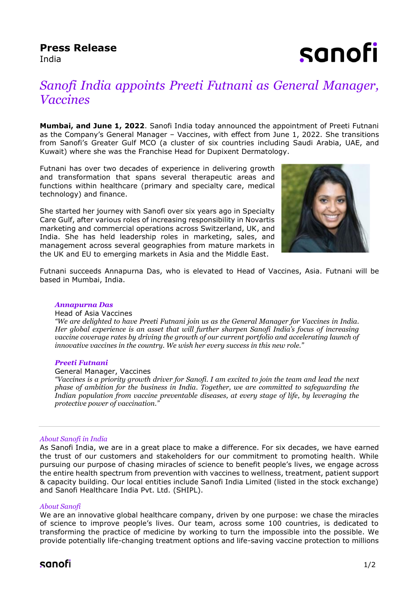## **Press Release**

India

sanofi

# *Sanofi India appoints Preeti Futnani as General Manager, Vaccines*

**Mumbai, and June 1, 2022**. Sanofi India today announced the appointment of Preeti Futnani as the Company's General Manager – Vaccines, with effect from June 1, 2022. She transitions from Sanofi's Greater Gulf MCO (a cluster of six countries including Saudi Arabia, UAE, and Kuwait) where she was the Franchise Head for Dupixent Dermatology.

Futnani has over two decades of experience in delivering growth and transformation that spans several therapeutic areas and functions within healthcare (primary and specialty care, medical technology) and finance.

She started her journey with Sanofi over six years ago in Specialty Care Gulf, after various roles of increasing responsibility in Novartis marketing and commercial operations across Switzerland, UK, and India. She has held leadership roles in marketing, sales, and management across several geographies from mature markets in the UK and EU to emerging markets in Asia and the Middle East.



Futnani succeeds Annapurna Das, who is elevated to Head of Vaccines, Asia. Futnani will be based in Mumbai, India.

#### *Annapurna Das*

#### Head of Asia Vaccines

*"We are delighted to have Preeti Futnani join us as the General Manager for Vaccines in India. Her global experience is an asset that will further sharpen Sanofi India's focus of increasing vaccine coverage rates by driving the growth of our current portfolio and accelerating launch of innovative vaccines in the country. We wish her every success in this new role."*

#### *Preeti Futnani*

#### General Manager, Vaccines

*"Vaccines is a priority growth driver for Sanofi. I am excited to join the team and lead the next phase of ambition for the business in India. Together, we are committed to safeguarding the Indian population from vaccine preventable diseases, at every stage of life, by leveraging the protective power of vaccination."* 

#### *About Sanofi in India*

As Sanofi India, we are in a great place to make a difference. For six decades, we have earned the trust of our customers and stakeholders for our commitment to promoting health. While pursuing our purpose of chasing miracles of science to benefit people's lives, we engage across the entire health spectrum from prevention with vaccines to wellness, treatment, patient support & capacity building. Our local entities include Sanofi India Limited (listed in the stock exchange) and Sanofi Healthcare India Pvt. Ltd. (SHIPL).

#### *About Sanofi*

We are an innovative global healthcare company, driven by one purpose: we chase the miracles of science to improve people's lives. Our team, across some 100 countries, is dedicated to transforming the practice of medicine by working to turn the impossible into the possible. We provide potentially life-changing treatment options and life-saving vaccine protection to millions

### sanofi